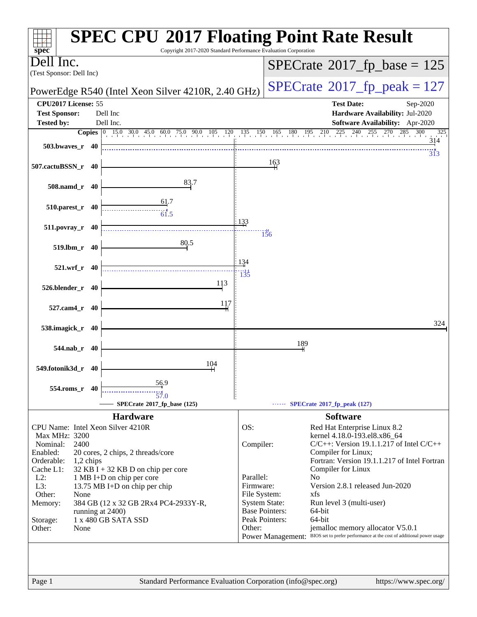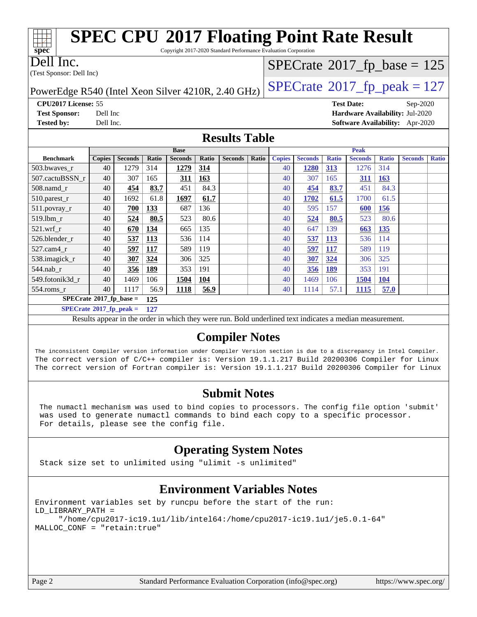| <b>SPEC CPU®2017 Floating Point Rate Result</b><br>spec<br>Copyright 2017-2020 Standard Performance Evaluation Corporation |                                            |                |              |                |              |                |              |               |                |              |                   |              |                                 |              |
|----------------------------------------------------------------------------------------------------------------------------|--------------------------------------------|----------------|--------------|----------------|--------------|----------------|--------------|---------------|----------------|--------------|-------------------|--------------|---------------------------------|--------------|
| Dell Inc.                                                                                                                  | $SPECrate$ <sup>®</sup> 2017_fp_base = 125 |                |              |                |              |                |              |               |                |              |                   |              |                                 |              |
| (Test Sponsor: Dell Inc)                                                                                                   |                                            |                |              |                |              |                |              |               |                |              |                   |              |                                 |              |
| $SPECTate^{\circ}2017$ _fp_peak = 127<br>PowerEdge R540 (Intel Xeon Silver 4210R, 2.40 GHz)                                |                                            |                |              |                |              |                |              |               |                |              |                   |              |                                 |              |
| CPU2017 License: 55                                                                                                        |                                            |                |              |                |              |                |              |               |                |              | <b>Test Date:</b> |              | $Sep-2020$                      |              |
| <b>Test Sponsor:</b>                                                                                                       | Dell Inc                                   |                |              |                |              |                |              |               |                |              |                   |              | Hardware Availability: Jul-2020 |              |
| <b>Tested by:</b>                                                                                                          | Dell Inc.                                  |                |              |                |              |                |              |               |                |              |                   |              | Software Availability: Apr-2020 |              |
| <b>Results Table</b>                                                                                                       |                                            |                |              |                |              |                |              |               |                |              |                   |              |                                 |              |
|                                                                                                                            |                                            |                |              | <b>Base</b>    |              |                |              |               |                |              | <b>Peak</b>       |              |                                 |              |
| <b>Benchmark</b>                                                                                                           | <b>Copies</b>                              | <b>Seconds</b> | <b>Ratio</b> | <b>Seconds</b> | <b>Ratio</b> | <b>Seconds</b> | <b>Ratio</b> | <b>Copies</b> | <b>Seconds</b> | <b>Ratio</b> | <b>Seconds</b>    | <b>Ratio</b> | <b>Seconds</b>                  | <b>Ratio</b> |
| 503.bwaves_r                                                                                                               | 40                                         | 1279           | 314          | 1279           | 314          |                |              | 40            | 1280           | 313          | 1276              | 314          |                                 |              |
| 507.cactuBSSN r                                                                                                            | 40                                         | 307            | 165          | 311            | 163          |                |              | 40            | 307            | 165          | 311               | 163          |                                 |              |
| 508.namd r                                                                                                                 | 40                                         | 454            | 83.7         | 451            | 84.3         |                |              | 40            | 454            | 83.7         | 451               | 84.3         |                                 |              |
| 510.parest_r                                                                                                               | 40                                         | 1692           | 61.8         | 1697           | 61.7         |                |              | 40            | 1702           | 61.5         | 1700              | 61.5         |                                 |              |
| 511.povray_r                                                                                                               | 40                                         | 700            | 133          | 687            | 136          |                |              | 40            | 595            | 157          | 600               | 156          |                                 |              |
| 519.lbm r                                                                                                                  | 40                                         | 524            | 80.5         | 523            | 80.6         |                |              | 40            | 524            | 80.5         | 523               | 80.6         |                                 |              |
| $521.wrf_r$                                                                                                                | 40                                         | 670            | 134          | 665            | 135          |                |              | 40            | 647            | 139          | 663               | 135          |                                 |              |
| 526.blender r                                                                                                              | 40                                         | 537            | 113          | 536            | 114          |                |              | 40            | 537            | 113          | 536               | 114          |                                 |              |
| 527.cam4 r                                                                                                                 | 40                                         | 597            | 117          | 589            | 119          |                |              | 40            | 597            | <b>117</b>   | 589               | 119          |                                 |              |
| 538.imagick_r                                                                                                              | 40                                         | 307            | 324          | 306            | 325          |                |              | 40            | 307            | 324          | 306               | 325          |                                 |              |
| 544.nab r                                                                                                                  | 40                                         | 356            | 189          | 353            | 191          |                |              | 40            | 356            | 189          | 353               | 191          |                                 |              |
| 549.fotonik3d_r                                                                                                            | 40                                         | 1469           | 106          | 1504           | 104          |                |              | 40            | 1469           | 106          | 1504              | 104          |                                 |              |
| 554.roms_r                                                                                                                 | 40                                         | 1117           | 56.9         | 1118           | 56.9         |                |              | 40            | 1114           | 57.1         | 1115              | 57.0         |                                 |              |
| $SPECrate*2017_fp\_base =$                                                                                                 |                                            |                | 125          |                |              |                |              |               |                |              |                   |              |                                 |              |
| $SPECrate^{\circ}2017$ fp peak =                                                                                           |                                            |                | 127          |                |              |                |              |               |                |              |                   |              |                                 |              |

Results appear in the [order in which they were run.](http://www.spec.org/auto/cpu2017/Docs/result-fields.html#RunOrder) Bold underlined text [indicates a median measurement.](http://www.spec.org/auto/cpu2017/Docs/result-fields.html#Median)

### **[Compiler Notes](http://www.spec.org/auto/cpu2017/Docs/result-fields.html#CompilerNotes)**

The inconsistent Compiler version information under Compiler Version section is due to a discrepancy in Intel Compiler. The correct version of C/C++ compiler is: Version 19.1.1.217 Build 20200306 Compiler for Linux The correct version of Fortran compiler is: Version 19.1.1.217 Build 20200306 Compiler for Linux

### **[Submit Notes](http://www.spec.org/auto/cpu2017/Docs/result-fields.html#SubmitNotes)**

 The numactl mechanism was used to bind copies to processors. The config file option 'submit' was used to generate numactl commands to bind each copy to a specific processor. For details, please see the config file.

## **[Operating System Notes](http://www.spec.org/auto/cpu2017/Docs/result-fields.html#OperatingSystemNotes)**

Stack size set to unlimited using "ulimit -s unlimited"

### **[Environment Variables Notes](http://www.spec.org/auto/cpu2017/Docs/result-fields.html#EnvironmentVariablesNotes)**

Environment variables set by runcpu before the start of the run: LD\_LIBRARY\_PATH = "/home/cpu2017-ic19.1u1/lib/intel64:/home/cpu2017-ic19.1u1/je5.0.1-64" MALLOC\_CONF = "retain:true"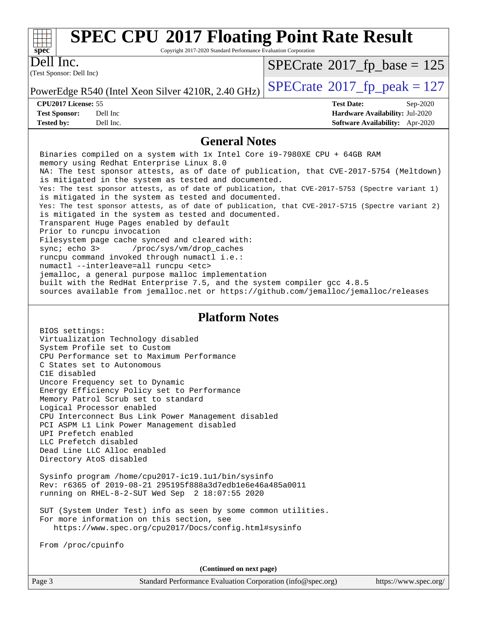

Copyright 2017-2020 Standard Performance Evaluation Corporation

(Test Sponsor: Dell Inc) Dell Inc.

 $SPECTate$ <sup>®</sup>[2017\\_fp\\_base =](http://www.spec.org/auto/cpu2017/Docs/result-fields.html#SPECrate2017fpbase) 125

**[Tested by:](http://www.spec.org/auto/cpu2017/Docs/result-fields.html#Testedby)** Dell Inc. **[Software Availability:](http://www.spec.org/auto/cpu2017/Docs/result-fields.html#SoftwareAvailability)** Apr-2020

PowerEdge R540 (Intel Xeon Silver 4210R, 2.40 GHz)  $\left|$  [SPECrate](http://www.spec.org/auto/cpu2017/Docs/result-fields.html#SPECrate2017fppeak)®[2017\\_fp\\_peak = 1](http://www.spec.org/auto/cpu2017/Docs/result-fields.html#SPECrate2017fppeak)27

**[CPU2017 License:](http://www.spec.org/auto/cpu2017/Docs/result-fields.html#CPU2017License)** 55 **[Test Date:](http://www.spec.org/auto/cpu2017/Docs/result-fields.html#TestDate)** Sep-2020 **[Test Sponsor:](http://www.spec.org/auto/cpu2017/Docs/result-fields.html#TestSponsor)** Dell Inc **[Hardware Availability:](http://www.spec.org/auto/cpu2017/Docs/result-fields.html#HardwareAvailability)** Jul-2020

#### **[General Notes](http://www.spec.org/auto/cpu2017/Docs/result-fields.html#GeneralNotes)**

 Binaries compiled on a system with 1x Intel Core i9-7980XE CPU + 64GB RAM memory using Redhat Enterprise Linux 8.0 NA: The test sponsor attests, as of date of publication, that CVE-2017-5754 (Meltdown) is mitigated in the system as tested and documented. Yes: The test sponsor attests, as of date of publication, that CVE-2017-5753 (Spectre variant 1) is mitigated in the system as tested and documented. Yes: The test sponsor attests, as of date of publication, that CVE-2017-5715 (Spectre variant 2) is mitigated in the system as tested and documented. Transparent Huge Pages enabled by default Prior to runcpu invocation Filesystem page cache synced and cleared with: sync; echo 3> /proc/sys/vm/drop\_caches runcpu command invoked through numactl i.e.: numactl --interleave=all runcpu <etc> jemalloc, a general purpose malloc implementation built with the RedHat Enterprise 7.5, and the system compiler gcc 4.8.5 sources available from jemalloc.net or<https://github.com/jemalloc/jemalloc/releases>

#### **[Platform Notes](http://www.spec.org/auto/cpu2017/Docs/result-fields.html#PlatformNotes)**

 BIOS settings: Virtualization Technology disabled System Profile set to Custom CPU Performance set to Maximum Performance C States set to Autonomous C1E disabled Uncore Frequency set to Dynamic Energy Efficiency Policy set to Performance Memory Patrol Scrub set to standard Logical Processor enabled CPU Interconnect Bus Link Power Management disabled PCI ASPM L1 Link Power Management disabled UPI Prefetch enabled LLC Prefetch disabled Dead Line LLC Alloc enabled Directory AtoS disabled

 Sysinfo program /home/cpu2017-ic19.1u1/bin/sysinfo Rev: r6365 of 2019-08-21 295195f888a3d7edb1e6e46a485a0011 running on RHEL-8-2-SUT Wed Sep 2 18:07:55 2020

 SUT (System Under Test) info as seen by some common utilities. For more information on this section, see <https://www.spec.org/cpu2017/Docs/config.html#sysinfo>

From /proc/cpuinfo

**(Continued on next page)**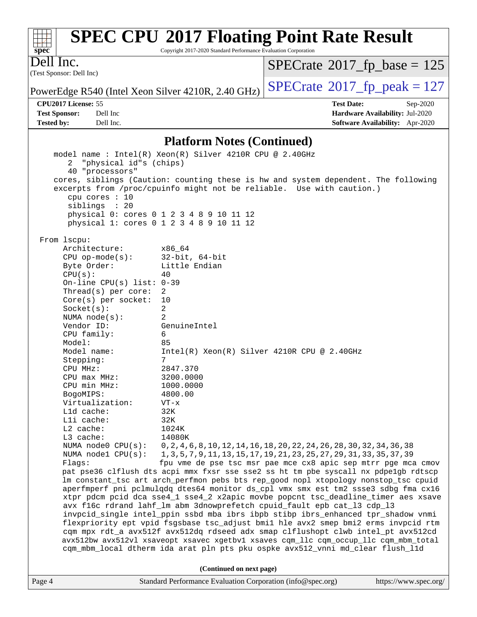| $Spec^*$                              | <b>SPEC CPU®2017 Floating Point Rate Result</b><br>Copyright 2017-2020 Standard Performance Evaluation Corporation |                                             |            |
|---------------------------------------|--------------------------------------------------------------------------------------------------------------------|---------------------------------------------|------------|
| Dell Inc.<br>(Test Sponsor: Dell Inc) |                                                                                                                    | $SPECrate^{\circledast}2017_fp\_base = 125$ |            |
|                                       | PowerEdge R540 (Intel Xeon Silver 4210R, 2.40 GHz)                                                                 | $SPECrate^{\circ}2017$ _fp_peak = 127       |            |
| <b>CPU2017 License: 55</b>            |                                                                                                                    | <b>Test Date:</b>                           | $Sep-2020$ |
| <b>Test Sponsor:</b>                  | Dell Inc                                                                                                           | Hardware Availability: Jul-2020             |            |
| <b>Tested by:</b>                     | Dell Inc.                                                                                                          | <b>Software Availability:</b> Apr-2020      |            |
|                                       |                                                                                                                    |                                             |            |

## **[Platform Notes \(Continued\)](http://www.spec.org/auto/cpu2017/Docs/result-fields.html#PlatformNotes)**

| 2 "physical id"s (chips)<br>40 "processors" | model name : Intel(R) Xeon(R) Silver 4210R CPU @ 2.40GHz<br>cores, siblings (Caution: counting these is hw and system dependent. The following         |
|---------------------------------------------|--------------------------------------------------------------------------------------------------------------------------------------------------------|
| cpu cores : 10<br>siblings : 20             | excerpts from /proc/cpuinfo might not be reliable. Use with caution.)                                                                                  |
|                                             | physical 0: cores 0 1 2 3 4 8 9 10 11 12                                                                                                               |
|                                             | physical 1: cores 0 1 2 3 4 8 9 10 11 12                                                                                                               |
| From 1scpu:                                 |                                                                                                                                                        |
| Architecture:                               | x86 64                                                                                                                                                 |
| $CPU$ op-mode(s):                           | 32-bit, 64-bit                                                                                                                                         |
| Byte Order:                                 | Little Endian                                                                                                                                          |
| CPU(s):                                     | 40                                                                                                                                                     |
| On-line CPU(s) list: $0-39$                 |                                                                                                                                                        |
| Thread(s) per core:                         | 2                                                                                                                                                      |
| $Core(s)$ per socket:                       | 10                                                                                                                                                     |
| Socket(s):                                  | $\overline{a}$                                                                                                                                         |
| NUMA $node(s)$ :                            | 2                                                                                                                                                      |
| Vendor ID:                                  | GenuineIntel                                                                                                                                           |
| CPU family:                                 | 6                                                                                                                                                      |
| Model:                                      | 85                                                                                                                                                     |
| Model name:                                 | $Intel(R) Xeon(R) Silver 4210R CPU @ 2.40GHz$                                                                                                          |
| Stepping:                                   | 7                                                                                                                                                      |
| CPU MHz:                                    | 2847.370                                                                                                                                               |
| CPU max MHz:                                | 3200.0000                                                                                                                                              |
| CPU min MHz:                                | 1000.0000                                                                                                                                              |
| BogoMIPS:                                   | 4800.00                                                                                                                                                |
| Virtualization:                             | $VT - x$                                                                                                                                               |
| L1d cache:                                  | 32K                                                                                                                                                    |
| Lli cache:                                  | 32K                                                                                                                                                    |
| L2 cache:                                   | 1024K                                                                                                                                                  |
| L3 cache:                                   | 14080K                                                                                                                                                 |
| NUMA $node1$ $CPU(s)$ :                     | NUMA node0 CPU(s): 0,2,4,6,8,10,12,14,16,18,20,22,24,26,28,30,32,34,36,38<br>1, 3, 5, 7, 9, 11, 13, 15, 17, 19, 21, 23, 25, 27, 29, 31, 33, 35, 37, 39 |
| Flags:                                      | fpu vme de pse tsc msr pae mce cx8 apic sep mtrr pge mca cmov                                                                                          |
|                                             | pat pse36 clflush dts acpi mmx fxsr sse sse2 ss ht tm pbe syscall nx pdpelgb rdtscp                                                                    |
|                                             | lm constant_tsc art arch_perfmon pebs bts rep_good nopl xtopology nonstop_tsc cpuid                                                                    |
|                                             | aperfmperf pni pclmulqdq dtes64 monitor ds_cpl vmx smx est tm2 ssse3 sdbg fma cx16                                                                     |
|                                             | xtpr pdcm pcid dca sse4_1 sse4_2 x2apic movbe popcnt tsc_deadline_timer aes xsave                                                                      |
|                                             | avx f16c rdrand lahf_lm abm 3dnowprefetch cpuid_fault epb cat_13 cdp_13                                                                                |
|                                             | invpcid_single intel_ppin ssbd mba ibrs ibpb stibp ibrs_enhanced tpr_shadow vnmi                                                                       |
|                                             | flexpriority ept vpid fsgsbase tsc_adjust bmil hle avx2 smep bmi2 erms invpcid rtm                                                                     |
|                                             | cqm mpx rdt_a avx512f avx512dq rdseed adx smap clflushopt clwb intel_pt avx512cd                                                                       |
|                                             | avx512bw avx512vl xsaveopt xsavec xgetbvl xsaves cqm_llc cqm_occup_llc cqm_mbm_total                                                                   |
|                                             | cqm_mbm_local dtherm ida arat pln pts pku ospke avx512_vnni md_clear flush_l1d                                                                         |
|                                             | (Continued on next page)                                                                                                                               |
| Page 4                                      | Standard Performance Evaluation Corporation (info@spec.org)<br>https://www.spec.org/                                                                   |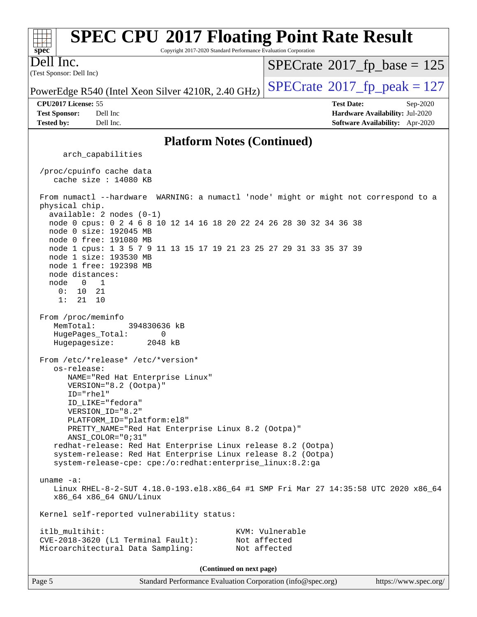| <b>SPEC CPU®2017 Floating Point Rate Result</b><br>Copyright 2017-2020 Standard Performance Evaluation Corporation<br>$spec^{\overline{\bullet}}$                                                              |                                                                  |
|----------------------------------------------------------------------------------------------------------------------------------------------------------------------------------------------------------------|------------------------------------------------------------------|
| Dell Inc.                                                                                                                                                                                                      | $SPECrate^{\circ}2017$ _fp_base = 125                            |
| (Test Sponsor: Dell Inc)                                                                                                                                                                                       | $SPECrate^{\circledcirc}2017_fp\_peak = 127$                     |
| PowerEdge R540 (Intel Xeon Silver 4210R, 2.40 GHz)<br>CPU2017 License: 55<br><b>Test Sponsor:</b><br>Dell Inc                                                                                                  | <b>Test Date:</b><br>Sep-2020<br>Hardware Availability: Jul-2020 |
| <b>Tested by:</b><br>Dell Inc.                                                                                                                                                                                 | Software Availability: Apr-2020                                  |
| <b>Platform Notes (Continued)</b>                                                                                                                                                                              |                                                                  |
| arch_capabilities                                                                                                                                                                                              |                                                                  |
| /proc/cpuinfo cache data<br>cache size : 14080 KB                                                                                                                                                              |                                                                  |
| From numactl --hardware WARNING: a numactl 'node' might or might not correspond to a<br>physical chip.<br>$available: 2 nodes (0-1)$                                                                           |                                                                  |
| node 0 cpus: 0 2 4 6 8 10 12 14 16 18 20 22 24 26 28 30 32 34 36 38<br>node 0 size: 192045 MB<br>node 0 free: 191080 MB                                                                                        |                                                                  |
| node 1 cpus: 1 3 5 7 9 11 13 15 17 19 21 23 25 27 29 31 33 35 37 39<br>node 1 size: 193530 MB                                                                                                                  |                                                                  |
| node 1 free: 192398 MB<br>node distances:<br>node<br>$\overline{0}$<br>$\overline{\phantom{1}}$                                                                                                                |                                                                  |
| 0: 10 21<br>1:<br>21<br>10                                                                                                                                                                                     |                                                                  |
| From /proc/meminfo<br>MemTotal:<br>394830636 kB<br>HugePages_Total:<br>0<br>Hugepagesize:<br>2048 kB                                                                                                           |                                                                  |
| From /etc/*release* /etc/*version*<br>os-release:                                                                                                                                                              |                                                                  |
| NAME="Red Hat Enterprise Linux"<br>VERSION="8.2 (Ootpa)"                                                                                                                                                       |                                                                  |
| ID="rhel"<br>ID LIKE="fedora"<br>VERSION_ID="8.2"                                                                                                                                                              |                                                                  |
| PLATFORM ID="platform:el8"<br>PRETTY_NAME="Red Hat Enterprise Linux 8.2 (Ootpa)"                                                                                                                               |                                                                  |
| ANSI_COLOR="0;31"<br>redhat-release: Red Hat Enterprise Linux release 8.2 (Ootpa)<br>system-release: Red Hat Enterprise Linux release 8.2 (Ootpa)<br>system-release-cpe: cpe:/o:redhat:enterprise_linux:8.2:ga |                                                                  |
| uname $-a$ :<br>Linux RHEL-8-2-SUT 4.18.0-193.el8.x86_64 #1 SMP Fri Mar 27 14:35:58 UTC 2020 x86_64<br>x86_64 x86_64 GNU/Linux                                                                                 |                                                                  |
| Kernel self-reported vulnerability status:                                                                                                                                                                     |                                                                  |
| itlb_multihit:<br>$CVE-2018-3620$ (L1 Terminal Fault):<br>Microarchitectural Data Sampling:                                                                                                                    | KVM: Vulnerable<br>Not affected<br>Not affected                  |
| (Continued on next page)                                                                                                                                                                                       |                                                                  |
| Page 5<br>Standard Performance Evaluation Corporation (info@spec.org)                                                                                                                                          | https://www.spec.org/                                            |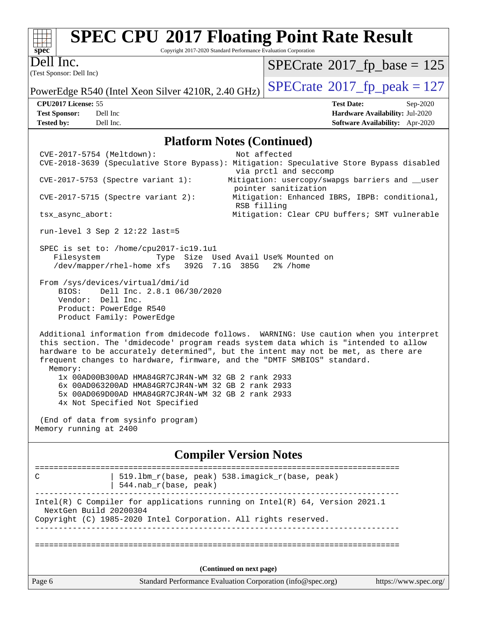| s<br>E<br>ш<br>Ú<br>c |  |  |  |  |  |
|-----------------------|--|--|--|--|--|

Copyright 2017-2020 Standard Performance Evaluation Corporation

(Test Sponsor: Dell Inc) Dell Inc.

 $SPECrate$ <sup>®</sup>[2017\\_fp\\_base =](http://www.spec.org/auto/cpu2017/Docs/result-fields.html#SPECrate2017fpbase) 125

PowerEdge R540 (Intel Xeon Silver 4210R, 2.40 GHz)  $\left|$  [SPECrate](http://www.spec.org/auto/cpu2017/Docs/result-fields.html#SPECrate2017fppeak)®[2017\\_fp\\_peak = 1](http://www.spec.org/auto/cpu2017/Docs/result-fields.html#SPECrate2017fppeak)27

**[CPU2017 License:](http://www.spec.org/auto/cpu2017/Docs/result-fields.html#CPU2017License)** 55 **[Test Date:](http://www.spec.org/auto/cpu2017/Docs/result-fields.html#TestDate)** Sep-2020 **[Test Sponsor:](http://www.spec.org/auto/cpu2017/Docs/result-fields.html#TestSponsor)** Dell Inc **[Hardware Availability:](http://www.spec.org/auto/cpu2017/Docs/result-fields.html#HardwareAvailability)** Jul-2020 **[Tested by:](http://www.spec.org/auto/cpu2017/Docs/result-fields.html#Testedby)** Dell Inc. **[Software Availability:](http://www.spec.org/auto/cpu2017/Docs/result-fields.html#SoftwareAvailability)** Apr-2020

# **[Platform Notes \(Continued\)](http://www.spec.org/auto/cpu2017/Docs/result-fields.html#PlatformNotes)**

| CVE-2017-5754 (Meltdown): |                                                                                                                                                                                                  | Not affected<br>CVE-2018-3639 (Speculative Store Bypass): Mitigation: Speculative Store Bypass disabled                                                                                                                                                                                                                                        |                       |
|---------------------------|--------------------------------------------------------------------------------------------------------------------------------------------------------------------------------------------------|------------------------------------------------------------------------------------------------------------------------------------------------------------------------------------------------------------------------------------------------------------------------------------------------------------------------------------------------|-----------------------|
|                           |                                                                                                                                                                                                  | via prctl and seccomp                                                                                                                                                                                                                                                                                                                          |                       |
|                           | $CVE-2017-5753$ (Spectre variant 1):                                                                                                                                                             | Mitigation: usercopy/swapgs barriers and __user<br>pointer sanitization                                                                                                                                                                                                                                                                        |                       |
|                           | $CVE-2017-5715$ (Spectre variant 2):                                                                                                                                                             | Mitigation: Enhanced IBRS, IBPB: conditional,<br>RSB filling                                                                                                                                                                                                                                                                                   |                       |
| tsx_async_abort:          |                                                                                                                                                                                                  | Mitigation: Clear CPU buffers; SMT vulnerable                                                                                                                                                                                                                                                                                                  |                       |
|                           | run-level 3 Sep $2$ 12:22 last=5                                                                                                                                                                 |                                                                                                                                                                                                                                                                                                                                                |                       |
| Filesystem                | SPEC is set to: /home/cpu2017-ic19.1u1<br>/dev/mapper/rhel-home xfs 392G 7.1G 385G                                                                                                               | Type Size Used Avail Use% Mounted on<br>2% /home                                                                                                                                                                                                                                                                                               |                       |
| BIOS:                     | From /sys/devices/virtual/dmi/id<br>Dell Inc. 2.8.1 06/30/2020<br>Vendor: Dell Inc.<br>Product: PowerEdge R540<br>Product Family: PowerEdge                                                      |                                                                                                                                                                                                                                                                                                                                                |                       |
| Memory:                   |                                                                                                                                                                                                  | Additional information from dmidecode follows. WARNING: Use caution when you interpret<br>this section. The 'dmidecode' program reads system data which is "intended to allow<br>hardware to be accurately determined", but the intent may not be met, as there are<br>frequent changes to hardware, firmware, and the "DMTF SMBIOS" standard. |                       |
|                           | 1x 00AD00B300AD HMA84GR7CJR4N-WM 32 GB 2 rank 2933<br>6x 00AD063200AD HMA84GR7CJR4N-WM 32 GB 2 rank 2933<br>5x 00AD069D00AD HMA84GR7CJR4N-WM 32 GB 2 rank 2933<br>4x Not Specified Not Specified |                                                                                                                                                                                                                                                                                                                                                |                       |
| Memory running at 2400    | (End of data from sysinfo program)                                                                                                                                                               |                                                                                                                                                                                                                                                                                                                                                |                       |
|                           |                                                                                                                                                                                                  | <b>Compiler Version Notes</b>                                                                                                                                                                                                                                                                                                                  |                       |
| C                         | 544.nab_r(base, peak)                                                                                                                                                                            | 519.1bm_r(base, peak) 538.imagick_r(base, peak)                                                                                                                                                                                                                                                                                                |                       |
| NextGen Build 20200304    | Copyright (C) 1985-2020 Intel Corporation. All rights reserved.                                                                                                                                  | Intel(R) C Compiler for applications running on Intel(R) 64, Version 2021.1                                                                                                                                                                                                                                                                    |                       |
|                           |                                                                                                                                                                                                  |                                                                                                                                                                                                                                                                                                                                                |                       |
|                           |                                                                                                                                                                                                  | (Continued on next page)                                                                                                                                                                                                                                                                                                                       |                       |
| Page 6                    |                                                                                                                                                                                                  | Standard Performance Evaluation Corporation (info@spec.org)                                                                                                                                                                                                                                                                                    | https://www.spec.org/ |
|                           |                                                                                                                                                                                                  |                                                                                                                                                                                                                                                                                                                                                |                       |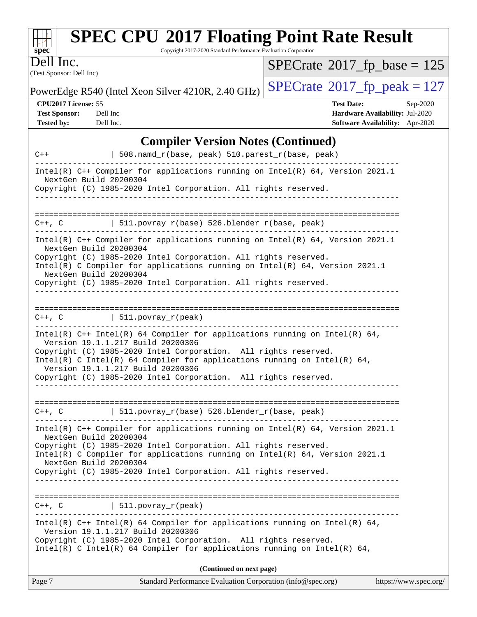| <b>SPEC CPU®2017 Floating Point Rate Result</b><br>$\frac{1}{\sqrt{1-\frac{1}{\sqrt{1-\frac{1}{\sqrt{1-\frac{1}{\sqrt{1-\frac{1}{\sqrt{1-\frac{1}{\sqrt{1-\frac{1}{\sqrt{1-\frac{1}{\sqrt{1-\frac{1}{\sqrt{1-\frac{1}{\sqrt{1-\frac{1}{\sqrt{1-\frac{1}{\sqrt{1-\frac{1}{\sqrt{1-\frac{1}{\sqrt{1-\frac{1}{\sqrt{1-\frac{1}{\sqrt{1-\frac{1}{\sqrt{1-\frac{1}{\sqrt{1-\frac{1}{\sqrt{1-\frac{1}{\sqrt{1-\frac{1}{\sqrt{1-\frac{1}{\sqrt{1-\frac{1}{\sqrt{1-\frac{1}{\sqrt{1-\frac{1$ |                                               |  |  |  |
|--------------------------------------------------------------------------------------------------------------------------------------------------------------------------------------------------------------------------------------------------------------------------------------------------------------------------------------------------------------------------------------------------------------------------------------------------------------------------------------|-----------------------------------------------|--|--|--|
| Copyright 2017-2020 Standard Performance Evaluation Corporation                                                                                                                                                                                                                                                                                                                                                                                                                      |                                               |  |  |  |
| Dell Inc.                                                                                                                                                                                                                                                                                                                                                                                                                                                                            | $SPECrate^{\circ}2017$ fp base = 125          |  |  |  |
| (Test Sponsor: Dell Inc)                                                                                                                                                                                                                                                                                                                                                                                                                                                             |                                               |  |  |  |
| PowerEdge R540 (Intel Xeon Silver 4210R, 2.40 GHz)                                                                                                                                                                                                                                                                                                                                                                                                                                   | $ SPECrate^{\circledcirc}2017_fp\_peak = 127$ |  |  |  |

**[Tested by:](http://www.spec.org/auto/cpu2017/Docs/result-fields.html#Testedby)** Dell Inc. **[Software Availability:](http://www.spec.org/auto/cpu2017/Docs/result-fields.html#SoftwareAvailability)** Apr-2020

**[CPU2017 License:](http://www.spec.org/auto/cpu2017/Docs/result-fields.html#CPU2017License)** 55 **[Test Date:](http://www.spec.org/auto/cpu2017/Docs/result-fields.html#TestDate)** Sep-2020 **[Test Sponsor:](http://www.spec.org/auto/cpu2017/Docs/result-fields.html#TestSponsor)** Dell Inc **[Hardware Availability:](http://www.spec.org/auto/cpu2017/Docs/result-fields.html#HardwareAvailability)** Jul-2020

## **[Compiler Version Notes \(Continued\)](http://www.spec.org/auto/cpu2017/Docs/result-fields.html#CompilerVersionNotes)**

| $C++$                                            | 508.namd_r(base, peak) 510.parest_r(base, peak)                                                                                                                                                                                                                                                                                                                          |
|--------------------------------------------------|--------------------------------------------------------------------------------------------------------------------------------------------------------------------------------------------------------------------------------------------------------------------------------------------------------------------------------------------------------------------------|
| NextGen Build 20200304                           | Intel(R) $C++$ Compiler for applications running on Intel(R) 64, Version 2021.1                                                                                                                                                                                                                                                                                          |
|                                                  | Copyright (C) 1985-2020 Intel Corporation. All rights reserved.                                                                                                                                                                                                                                                                                                          |
|                                                  |                                                                                                                                                                                                                                                                                                                                                                          |
| $C++$ , $C$                                      | $511.povray_r(base) 526.blender_r(base, peak)$                                                                                                                                                                                                                                                                                                                           |
| NextGen Build 20200304<br>NextGen Build 20200304 | Intel(R) C++ Compiler for applications running on Intel(R) 64, Version 2021.1<br>Copyright (C) 1985-2020 Intel Corporation. All rights reserved.<br>Intel(R) C Compiler for applications running on $Intel(R) 64$ , Version 2021.1<br>Copyright (C) 1985-2020 Intel Corporation. All rights reserved.                                                                    |
| $C++$ , $C$                                      | $  511. povray_r (peak)$                                                                                                                                                                                                                                                                                                                                                 |
|                                                  | Intel(R) $C++$ Intel(R) 64 Compiler for applications running on Intel(R) 64,<br>Version 19.1.1.217 Build 20200306<br>Copyright (C) 1985-2020 Intel Corporation. All rights reserved.<br>Intel(R) C Intel(R) 64 Compiler for applications running on Intel(R) 64,<br>Version 19.1.1.217 Build 20200306<br>Copyright (C) 1985-2020 Intel Corporation. All rights reserved. |
| $C++$ , $C$                                      | 511.povray_r(base) 526.blender_r(base, peak)                                                                                                                                                                                                                                                                                                                             |
| NextGen Build 20200304                           | Intel(R) $C++$ Compiler for applications running on Intel(R) 64, Version 2021.1<br>Copyright (C) 1985-2020 Intel Corporation. All rights reserved.<br>Intel(R) C Compiler for applications running on Intel(R) 64, Version 2021.1                                                                                                                                        |
| NextGen Build 20200304                           | Copyright (C) 1985-2020 Intel Corporation. All rights reserved.                                                                                                                                                                                                                                                                                                          |
| $C++$ , $C$                                      | 511.povray_r(peak)                                                                                                                                                                                                                                                                                                                                                       |
|                                                  | Intel(R) $C++$ Intel(R) 64 Compiler for applications running on Intel(R) 64,<br>Version 19.1.1.217 Build 20200306<br>Copyright (C) 1985-2020 Intel Corporation. All rights reserved.<br>Intel(R) C Intel(R) 64 Compiler for applications running on Intel(R) 64,                                                                                                         |
|                                                  | (Continued on next page)                                                                                                                                                                                                                                                                                                                                                 |
| Page 7                                           | Standard Performance Evaluation Corporation (info@spec.org)<br>https://www.spec.org/                                                                                                                                                                                                                                                                                     |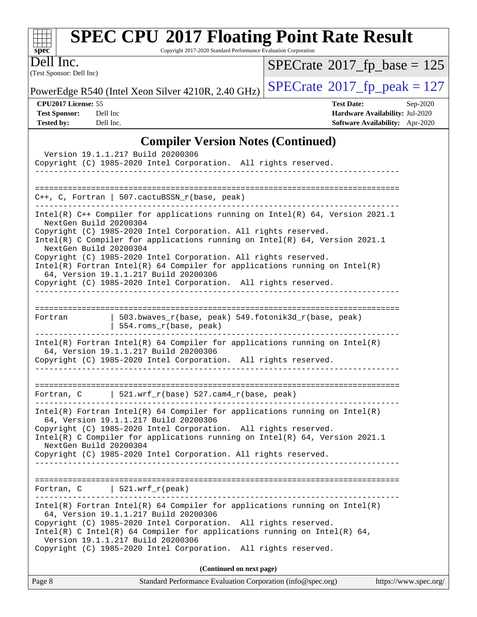| $spec^*$                              | <b>SPEC CPU®2017 Floating Point Rate Result</b><br>Copyright 2017-2020 Standard Performance Evaluation Corporation |                                             |
|---------------------------------------|--------------------------------------------------------------------------------------------------------------------|---------------------------------------------|
| Dell Inc.<br>(Test Sponsor: Dell Inc) |                                                                                                                    | $SPECrate^{\circledast}2017$ [p_base = 125  |
|                                       | PowerEdge R540 (Intel Xeon Silver 4210R, 2.40 GHz)                                                                 | $SPECrate^{\circledcirc}2017$ fp peak = 127 |
| <b>CPU2017 License: 55</b>            |                                                                                                                    | <b>Test Date:</b><br>$Sep-2020$             |
| <b>Test Sponsor:</b>                  | Dell Inc                                                                                                           | Hardware Availability: Jul-2020             |
| <b>Tested by:</b>                     | Dell Inc.                                                                                                          | <b>Software Availability:</b> Apr-2020      |
|                                       | <b>Compiler Version Notes (Continued)</b>                                                                          |                                             |
|                                       | Version 19.1.1.217 Build 20200306                                                                                  |                                             |
|                                       | Copyright (C) 1985-2020 Intel Corporation.                                                                         | All rights reserved.                        |

| Copyright (C) 1985-2020 Intel Corporation. All rights reserved.                                                                                                                          |
|------------------------------------------------------------------------------------------------------------------------------------------------------------------------------------------|
|                                                                                                                                                                                          |
|                                                                                                                                                                                          |
| $C_{++}$ , C, Fortran   507.cactuBSSN_r(base, peak)                                                                                                                                      |
| Intel(R) C++ Compiler for applications running on Intel(R) $64$ , Version 2021.1<br>NextGen Build 20200304                                                                               |
| Copyright (C) 1985-2020 Intel Corporation. All rights reserved.<br>Intel(R) C Compiler for applications running on Intel(R) 64, Version 2021.1<br>NextGen Build 20200304                 |
| Copyright (C) 1985-2020 Intel Corporation. All rights reserved.<br>$Intel(R)$ Fortran Intel(R) 64 Compiler for applications running on Intel(R)<br>64, Version 19.1.1.217 Build 20200306 |
| Copyright (C) 1985-2020 Intel Corporation. All rights reserved.                                                                                                                          |
| -------------------------                                                                                                                                                                |
| 503.bwaves_r(base, peak) 549.fotonik3d_r(base, peak)<br>Fortran<br>554.roms_r(base, peak)                                                                                                |
| $Intel(R)$ Fortran Intel(R) 64 Compiler for applications running on Intel(R)<br>64, Version 19.1.1.217 Build 20200306<br>Copyright (C) 1985-2020 Intel Corporation. All rights reserved. |
|                                                                                                                                                                                          |
| ===========================<br>  521.wrf_r(base) 527.cam4_r(base, peak)<br>Fortran, C                                                                                                    |
| $Intel(R)$ Fortran Intel(R) 64 Compiler for applications running on Intel(R)<br>64, Version 19.1.1.217 Build 20200306<br>Copyright (C) 1985-2020 Intel Corporation. All rights reserved. |
| Intel(R) C Compiler for applications running on $Intel(R) 64$ , Version 2021.1<br>NextGen Build 20200304                                                                                 |
| Copyright (C) 1985-2020 Intel Corporation. All rights reserved.                                                                                                                          |
|                                                                                                                                                                                          |
| Fortran, $C$   521.wrf_r(peak)                                                                                                                                                           |
| $Intel(R)$ Fortran Intel(R) 64 Compiler for applications running on Intel(R)<br>64, Version 19.1.1.217 Build 20200306                                                                    |
| Copyright (C) 1985-2020 Intel Corporation. All rights reserved.<br>Intel(R) C Intel(R) 64 Compiler for applications running on Intel(R) 64,<br>Version 19.1.1.217 Build 20200306         |
| Copyright (C) 1985-2020 Intel Corporation. All rights reserved.                                                                                                                          |
| (Continued on next page)                                                                                                                                                                 |

| Page 8 | Standard Performance Evaluation Corporation (info@spec.org) | https://www.spec.org/ |
|--------|-------------------------------------------------------------|-----------------------|
|--------|-------------------------------------------------------------|-----------------------|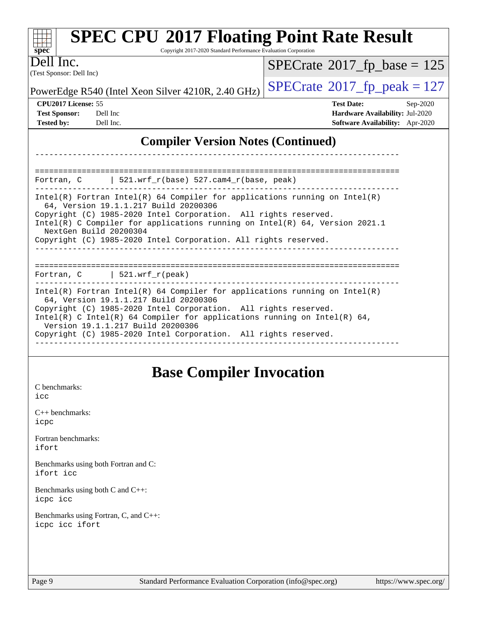| <b>SPEC CPU®2017 Floating Point Rate Result</b><br>Copyright 2017-2020 Standard Performance Evaluation Corporation<br>$spec^*$                                                                                                                                                                                                                                                                                        |                                                                                                                                                                                                                                                                           |                                       |  |  |  |  |
|-----------------------------------------------------------------------------------------------------------------------------------------------------------------------------------------------------------------------------------------------------------------------------------------------------------------------------------------------------------------------------------------------------------------------|---------------------------------------------------------------------------------------------------------------------------------------------------------------------------------------------------------------------------------------------------------------------------|---------------------------------------|--|--|--|--|
| Inc.<br>(Test Sponsor: Dell Inc)                                                                                                                                                                                                                                                                                                                                                                                      |                                                                                                                                                                                                                                                                           | $SPECrate^{\circ}2017_fp\_base = 125$ |  |  |  |  |
|                                                                                                                                                                                                                                                                                                                                                                                                                       | PowerEdge R540 (Intel Xeon Silver 4210R, 2.40 GHz)                                                                                                                                                                                                                        | $SPECrate^{\circ}2017$ _fp_peak = 127 |  |  |  |  |
| CPU2017 License: 55                                                                                                                                                                                                                                                                                                                                                                                                   |                                                                                                                                                                                                                                                                           | <b>Test Date:</b><br>Sep-2020         |  |  |  |  |
| <b>Test Sponsor:</b>                                                                                                                                                                                                                                                                                                                                                                                                  | Dell Inc                                                                                                                                                                                                                                                                  | Hardware Availability: Jul-2020       |  |  |  |  |
| <b>Tested by:</b>                                                                                                                                                                                                                                                                                                                                                                                                     | Dell Inc.                                                                                                                                                                                                                                                                 | Software Availability: Apr-2020       |  |  |  |  |
|                                                                                                                                                                                                                                                                                                                                                                                                                       | <b>Compiler Version Notes (Continued)</b>                                                                                                                                                                                                                                 |                                       |  |  |  |  |
| Fortran, C                                                                                                                                                                                                                                                                                                                                                                                                            | $521.wrf_r(base) 527.cam4_r(base, peak)$                                                                                                                                                                                                                                  |                                       |  |  |  |  |
|                                                                                                                                                                                                                                                                                                                                                                                                                       | $Intel(R)$ Fortran Intel(R) 64 Compiler for applications running on Intel(R)<br>64, Version 19.1.1.217 Build 20200306<br>Copyright (C) 1985-2020 Intel Corporation. All rights reserved.<br>Intel(R) C Compiler for applications running on $Intel(R)$ 64, Version 2021.1 |                                       |  |  |  |  |
|                                                                                                                                                                                                                                                                                                                                                                                                                       | NextGen Build 20200304<br>Copyright (C) 1985-2020 Intel Corporation. All rights reserved.                                                                                                                                                                                 |                                       |  |  |  |  |
| $\vert$ 521.wrf_r(peak)<br>Fortran, C<br>$Intel(R)$ Fortran Intel(R) 64 Compiler for applications running on Intel(R)<br>64, Version 19.1.1.217 Build 20200306<br>Copyright (C) 1985-2020 Intel Corporation. All rights reserved.<br>Intel(R) C Intel(R) 64 Compiler for applications running on Intel(R) 64,<br>Version 19.1.1.217 Build 20200306<br>Copyright (C) 1985-2020 Intel Corporation. All rights reserved. |                                                                                                                                                                                                                                                                           |                                       |  |  |  |  |
|                                                                                                                                                                                                                                                                                                                                                                                                                       |                                                                                                                                                                                                                                                                           |                                       |  |  |  |  |

# **[Base Compiler Invocation](http://www.spec.org/auto/cpu2017/Docs/result-fields.html#BaseCompilerInvocation)**

[C benchmarks](http://www.spec.org/auto/cpu2017/Docs/result-fields.html#Cbenchmarks): [icc](http://www.spec.org/cpu2017/results/res2020q4/cpu2017-20200928-24083.flags.html#user_CCbase_intel_icc_66fc1ee009f7361af1fbd72ca7dcefbb700085f36577c54f309893dd4ec40d12360134090235512931783d35fd58c0460139e722d5067c5574d8eaf2b3e37e92)

[C++ benchmarks:](http://www.spec.org/auto/cpu2017/Docs/result-fields.html#CXXbenchmarks) [icpc](http://www.spec.org/cpu2017/results/res2020q4/cpu2017-20200928-24083.flags.html#user_CXXbase_intel_icpc_c510b6838c7f56d33e37e94d029a35b4a7bccf4766a728ee175e80a419847e808290a9b78be685c44ab727ea267ec2f070ec5dc83b407c0218cded6866a35d07)

[Fortran benchmarks](http://www.spec.org/auto/cpu2017/Docs/result-fields.html#Fortranbenchmarks): [ifort](http://www.spec.org/cpu2017/results/res2020q4/cpu2017-20200928-24083.flags.html#user_FCbase_intel_ifort_8111460550e3ca792625aed983ce982f94888b8b503583aa7ba2b8303487b4d8a21a13e7191a45c5fd58ff318f48f9492884d4413fa793fd88dd292cad7027ca)

[Benchmarks using both Fortran and C](http://www.spec.org/auto/cpu2017/Docs/result-fields.html#BenchmarksusingbothFortranandC): [ifort](http://www.spec.org/cpu2017/results/res2020q4/cpu2017-20200928-24083.flags.html#user_CC_FCbase_intel_ifort_8111460550e3ca792625aed983ce982f94888b8b503583aa7ba2b8303487b4d8a21a13e7191a45c5fd58ff318f48f9492884d4413fa793fd88dd292cad7027ca) [icc](http://www.spec.org/cpu2017/results/res2020q4/cpu2017-20200928-24083.flags.html#user_CC_FCbase_intel_icc_66fc1ee009f7361af1fbd72ca7dcefbb700085f36577c54f309893dd4ec40d12360134090235512931783d35fd58c0460139e722d5067c5574d8eaf2b3e37e92)

[Benchmarks using both C and C++](http://www.spec.org/auto/cpu2017/Docs/result-fields.html#BenchmarksusingbothCandCXX): [icpc](http://www.spec.org/cpu2017/results/res2020q4/cpu2017-20200928-24083.flags.html#user_CC_CXXbase_intel_icpc_c510b6838c7f56d33e37e94d029a35b4a7bccf4766a728ee175e80a419847e808290a9b78be685c44ab727ea267ec2f070ec5dc83b407c0218cded6866a35d07) [icc](http://www.spec.org/cpu2017/results/res2020q4/cpu2017-20200928-24083.flags.html#user_CC_CXXbase_intel_icc_66fc1ee009f7361af1fbd72ca7dcefbb700085f36577c54f309893dd4ec40d12360134090235512931783d35fd58c0460139e722d5067c5574d8eaf2b3e37e92)

[Benchmarks using Fortran, C, and C++:](http://www.spec.org/auto/cpu2017/Docs/result-fields.html#BenchmarksusingFortranCandCXX) [icpc](http://www.spec.org/cpu2017/results/res2020q4/cpu2017-20200928-24083.flags.html#user_CC_CXX_FCbase_intel_icpc_c510b6838c7f56d33e37e94d029a35b4a7bccf4766a728ee175e80a419847e808290a9b78be685c44ab727ea267ec2f070ec5dc83b407c0218cded6866a35d07) [icc](http://www.spec.org/cpu2017/results/res2020q4/cpu2017-20200928-24083.flags.html#user_CC_CXX_FCbase_intel_icc_66fc1ee009f7361af1fbd72ca7dcefbb700085f36577c54f309893dd4ec40d12360134090235512931783d35fd58c0460139e722d5067c5574d8eaf2b3e37e92) [ifort](http://www.spec.org/cpu2017/results/res2020q4/cpu2017-20200928-24083.flags.html#user_CC_CXX_FCbase_intel_ifort_8111460550e3ca792625aed983ce982f94888b8b503583aa7ba2b8303487b4d8a21a13e7191a45c5fd58ff318f48f9492884d4413fa793fd88dd292cad7027ca)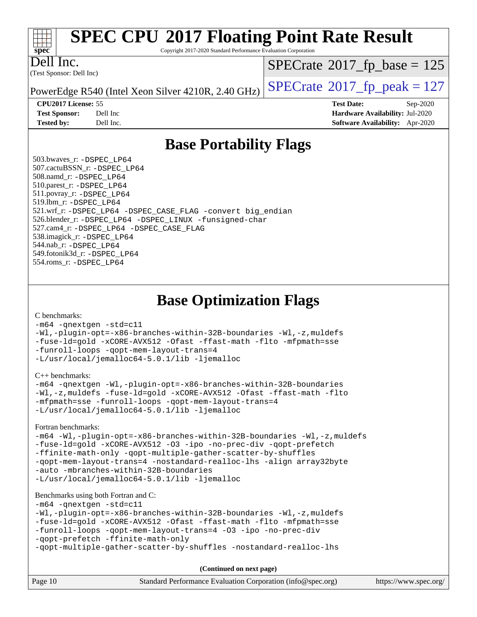

Copyright 2017-2020 Standard Performance Evaluation Corporation

Dell Inc.

(Test Sponsor: Dell Inc)

 $SPECTate$ <sup>®</sup>[2017\\_fp\\_base =](http://www.spec.org/auto/cpu2017/Docs/result-fields.html#SPECrate2017fpbase) 125

PowerEdge R540 (Intel Xeon Silver 4210R, 2.40 GHz)  $\left|$  [SPECrate](http://www.spec.org/auto/cpu2017/Docs/result-fields.html#SPECrate2017fppeak)<sup>®</sup>[2017\\_fp\\_peak = 1](http://www.spec.org/auto/cpu2017/Docs/result-fields.html#SPECrate2017fppeak)27

**[CPU2017 License:](http://www.spec.org/auto/cpu2017/Docs/result-fields.html#CPU2017License)** 55 **[Test Date:](http://www.spec.org/auto/cpu2017/Docs/result-fields.html#TestDate)** Sep-2020 **[Test Sponsor:](http://www.spec.org/auto/cpu2017/Docs/result-fields.html#TestSponsor)** Dell Inc **[Hardware Availability:](http://www.spec.org/auto/cpu2017/Docs/result-fields.html#HardwareAvailability)** Jul-2020 **[Tested by:](http://www.spec.org/auto/cpu2017/Docs/result-fields.html#Testedby)** Dell Inc. **[Software Availability:](http://www.spec.org/auto/cpu2017/Docs/result-fields.html#SoftwareAvailability)** Apr-2020

## **[Base Portability Flags](http://www.spec.org/auto/cpu2017/Docs/result-fields.html#BasePortabilityFlags)**

 503.bwaves\_r: [-DSPEC\\_LP64](http://www.spec.org/cpu2017/results/res2020q4/cpu2017-20200928-24083.flags.html#suite_basePORTABILITY503_bwaves_r_DSPEC_LP64) 507.cactuBSSN\_r: [-DSPEC\\_LP64](http://www.spec.org/cpu2017/results/res2020q4/cpu2017-20200928-24083.flags.html#suite_basePORTABILITY507_cactuBSSN_r_DSPEC_LP64) 508.namd\_r: [-DSPEC\\_LP64](http://www.spec.org/cpu2017/results/res2020q4/cpu2017-20200928-24083.flags.html#suite_basePORTABILITY508_namd_r_DSPEC_LP64) 510.parest\_r: [-DSPEC\\_LP64](http://www.spec.org/cpu2017/results/res2020q4/cpu2017-20200928-24083.flags.html#suite_basePORTABILITY510_parest_r_DSPEC_LP64) 511.povray\_r: [-DSPEC\\_LP64](http://www.spec.org/cpu2017/results/res2020q4/cpu2017-20200928-24083.flags.html#suite_basePORTABILITY511_povray_r_DSPEC_LP64) 519.lbm\_r: [-DSPEC\\_LP64](http://www.spec.org/cpu2017/results/res2020q4/cpu2017-20200928-24083.flags.html#suite_basePORTABILITY519_lbm_r_DSPEC_LP64) 521.wrf\_r: [-DSPEC\\_LP64](http://www.spec.org/cpu2017/results/res2020q4/cpu2017-20200928-24083.flags.html#suite_basePORTABILITY521_wrf_r_DSPEC_LP64) [-DSPEC\\_CASE\\_FLAG](http://www.spec.org/cpu2017/results/res2020q4/cpu2017-20200928-24083.flags.html#b521.wrf_r_baseCPORTABILITY_DSPEC_CASE_FLAG) [-convert big\\_endian](http://www.spec.org/cpu2017/results/res2020q4/cpu2017-20200928-24083.flags.html#user_baseFPORTABILITY521_wrf_r_convert_big_endian_c3194028bc08c63ac5d04de18c48ce6d347e4e562e8892b8bdbdc0214820426deb8554edfa529a3fb25a586e65a3d812c835984020483e7e73212c4d31a38223) 526.blender\_r: [-DSPEC\\_LP64](http://www.spec.org/cpu2017/results/res2020q4/cpu2017-20200928-24083.flags.html#suite_basePORTABILITY526_blender_r_DSPEC_LP64) [-DSPEC\\_LINUX](http://www.spec.org/cpu2017/results/res2020q4/cpu2017-20200928-24083.flags.html#b526.blender_r_baseCPORTABILITY_DSPEC_LINUX) [-funsigned-char](http://www.spec.org/cpu2017/results/res2020q4/cpu2017-20200928-24083.flags.html#user_baseCPORTABILITY526_blender_r_force_uchar_40c60f00ab013830e2dd6774aeded3ff59883ba5a1fc5fc14077f794d777847726e2a5858cbc7672e36e1b067e7e5c1d9a74f7176df07886a243d7cc18edfe67) 527.cam4\_r: [-DSPEC\\_LP64](http://www.spec.org/cpu2017/results/res2020q4/cpu2017-20200928-24083.flags.html#suite_basePORTABILITY527_cam4_r_DSPEC_LP64) [-DSPEC\\_CASE\\_FLAG](http://www.spec.org/cpu2017/results/res2020q4/cpu2017-20200928-24083.flags.html#b527.cam4_r_baseCPORTABILITY_DSPEC_CASE_FLAG) 538.imagick\_r: [-DSPEC\\_LP64](http://www.spec.org/cpu2017/results/res2020q4/cpu2017-20200928-24083.flags.html#suite_basePORTABILITY538_imagick_r_DSPEC_LP64) 544.nab\_r: [-DSPEC\\_LP64](http://www.spec.org/cpu2017/results/res2020q4/cpu2017-20200928-24083.flags.html#suite_basePORTABILITY544_nab_r_DSPEC_LP64) 549.fotonik3d\_r: [-DSPEC\\_LP64](http://www.spec.org/cpu2017/results/res2020q4/cpu2017-20200928-24083.flags.html#suite_basePORTABILITY549_fotonik3d_r_DSPEC_LP64) 554.roms\_r: [-DSPEC\\_LP64](http://www.spec.org/cpu2017/results/res2020q4/cpu2017-20200928-24083.flags.html#suite_basePORTABILITY554_roms_r_DSPEC_LP64)

**[Base Optimization Flags](http://www.spec.org/auto/cpu2017/Docs/result-fields.html#BaseOptimizationFlags)**

[C benchmarks](http://www.spec.org/auto/cpu2017/Docs/result-fields.html#Cbenchmarks):

[-m64](http://www.spec.org/cpu2017/results/res2020q4/cpu2017-20200928-24083.flags.html#user_CCbase_m64-icc) [-qnextgen](http://www.spec.org/cpu2017/results/res2020q4/cpu2017-20200928-24083.flags.html#user_CCbase_f-qnextgen) [-std=c11](http://www.spec.org/cpu2017/results/res2020q4/cpu2017-20200928-24083.flags.html#user_CCbase_std-icc-std_0e1c27790398a4642dfca32ffe6c27b5796f9c2d2676156f2e42c9c44eaad0c049b1cdb667a270c34d979996257aeb8fc440bfb01818dbc9357bd9d174cb8524) [-Wl,-plugin-opt=-x86-branches-within-32B-boundaries](http://www.spec.org/cpu2017/results/res2020q4/cpu2017-20200928-24083.flags.html#user_CCbase_f-x86-branches-within-32B-boundaries_0098b4e4317ae60947b7b728078a624952a08ac37a3c797dfb4ffeb399e0c61a9dd0f2f44ce917e9361fb9076ccb15e7824594512dd315205382d84209e912f3) [-Wl,-z,muldefs](http://www.spec.org/cpu2017/results/res2020q4/cpu2017-20200928-24083.flags.html#user_CCbase_link_force_multiple1_b4cbdb97b34bdee9ceefcfe54f4c8ea74255f0b02a4b23e853cdb0e18eb4525ac79b5a88067c842dd0ee6996c24547a27a4b99331201badda8798ef8a743f577) [-fuse-ld=gold](http://www.spec.org/cpu2017/results/res2020q4/cpu2017-20200928-24083.flags.html#user_CCbase_f-fuse-ld_920b3586e2b8c6e0748b9c84fa9b744736ba725a32cab14ad8f3d4ad28eecb2f59d1144823d2e17006539a88734fe1fc08fc3035f7676166309105a78aaabc32) [-xCORE-AVX512](http://www.spec.org/cpu2017/results/res2020q4/cpu2017-20200928-24083.flags.html#user_CCbase_f-xCORE-AVX512) [-Ofast](http://www.spec.org/cpu2017/results/res2020q4/cpu2017-20200928-24083.flags.html#user_CCbase_f-Ofast) [-ffast-math](http://www.spec.org/cpu2017/results/res2020q4/cpu2017-20200928-24083.flags.html#user_CCbase_f-ffast-math) [-flto](http://www.spec.org/cpu2017/results/res2020q4/cpu2017-20200928-24083.flags.html#user_CCbase_f-flto) [-mfpmath=sse](http://www.spec.org/cpu2017/results/res2020q4/cpu2017-20200928-24083.flags.html#user_CCbase_f-mfpmath_70eb8fac26bde974f8ab713bc9086c5621c0b8d2f6c86f38af0bd7062540daf19db5f3a066d8c6684be05d84c9b6322eb3b5be6619d967835195b93d6c02afa1) [-funroll-loops](http://www.spec.org/cpu2017/results/res2020q4/cpu2017-20200928-24083.flags.html#user_CCbase_f-funroll-loops) [-qopt-mem-layout-trans=4](http://www.spec.org/cpu2017/results/res2020q4/cpu2017-20200928-24083.flags.html#user_CCbase_f-qopt-mem-layout-trans_fa39e755916c150a61361b7846f310bcdf6f04e385ef281cadf3647acec3f0ae266d1a1d22d972a7087a248fd4e6ca390a3634700869573d231a252c784941a8) [-L/usr/local/jemalloc64-5.0.1/lib](http://www.spec.org/cpu2017/results/res2020q4/cpu2017-20200928-24083.flags.html#user_CCbase_jemalloc_link_path64_1_cc289568b1a6c0fd3b62c91b824c27fcb5af5e8098e6ad028160d21144ef1b8aef3170d2acf0bee98a8da324cfe4f67d0a3d0c4cc4673d993d694dc2a0df248b) [-ljemalloc](http://www.spec.org/cpu2017/results/res2020q4/cpu2017-20200928-24083.flags.html#user_CCbase_jemalloc_link_lib_d1249b907c500fa1c0672f44f562e3d0f79738ae9e3c4a9c376d49f265a04b9c99b167ecedbf6711b3085be911c67ff61f150a17b3472be731631ba4d0471706)

[C++ benchmarks:](http://www.spec.org/auto/cpu2017/Docs/result-fields.html#CXXbenchmarks)

```
-m64 -qnextgen -Wl,-plugin-opt=-x86-branches-within-32B-boundaries
-Wl,-z,muldefs -fuse-ld=gold -xCORE-AVX512 -Ofast -ffast-math -flto
-mfpmath=sse -funroll-loops -qopt-mem-layout-trans=4
-L/usr/local/jemalloc64-5.0.1/lib -ljemalloc
```
[Fortran benchmarks](http://www.spec.org/auto/cpu2017/Docs/result-fields.html#Fortranbenchmarks):

```
-m64 -Wl,-plugin-opt=-x86-branches-within-32B-boundaries -Wl,-z,muldefs
-fuse-ld=gold -xCORE-AVX512 -O3 -ipo -no-prec-div -qopt-prefetch
-ffinite-math-only -qopt-multiple-gather-scatter-by-shuffles
-qopt-mem-layout-trans=4 -nostandard-realloc-lhs -align array32byte
-auto -mbranches-within-32B-boundaries
-L/usr/local/jemalloc64-5.0.1/lib -ljemalloc
```
[Benchmarks using both Fortran and C](http://www.spec.org/auto/cpu2017/Docs/result-fields.html#BenchmarksusingbothFortranandC):

```
-m64 -qnextgen -std=c11
-Wl,-plugin-opt=-x86-branches-within-32B-boundaries -Wl,-z,muldefs
-fuse-ld=gold -xCORE-AVX512 -Ofast -ffast-math -flto -mfpmath=sse
-funroll-loops -qopt-mem-layout-trans=4 -O3 -ipo -no-prec-div
-qopt-prefetch -ffinite-math-only
-qopt-multiple-gather-scatter-by-shuffles -nostandard-realloc-lhs
```
**(Continued on next page)**

| Page 10 | Standard Performance Evaluation Corporation (info@spec.org) | https://www.spec.org/ |
|---------|-------------------------------------------------------------|-----------------------|
|---------|-------------------------------------------------------------|-----------------------|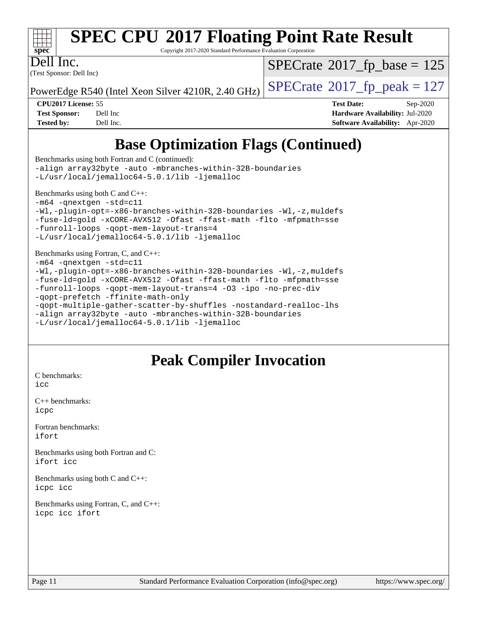

Copyright 2017-2020 Standard Performance Evaluation Corporation

Dell Inc.

(Test Sponsor: Dell Inc)

 $SPECTate$ <sup>®</sup>[2017\\_fp\\_base =](http://www.spec.org/auto/cpu2017/Docs/result-fields.html#SPECrate2017fpbase) 125

PowerEdge R540 (Intel Xeon Silver 4210R, 2.40 GHz)  $\left|$  [SPECrate](http://www.spec.org/auto/cpu2017/Docs/result-fields.html#SPECrate2017fppeak)®[2017\\_fp\\_peak = 1](http://www.spec.org/auto/cpu2017/Docs/result-fields.html#SPECrate2017fppeak)27

**[CPU2017 License:](http://www.spec.org/auto/cpu2017/Docs/result-fields.html#CPU2017License)** 55 **[Test Date:](http://www.spec.org/auto/cpu2017/Docs/result-fields.html#TestDate)** Sep-2020 **[Test Sponsor:](http://www.spec.org/auto/cpu2017/Docs/result-fields.html#TestSponsor)** Dell Inc **[Hardware Availability:](http://www.spec.org/auto/cpu2017/Docs/result-fields.html#HardwareAvailability)** Jul-2020 **[Tested by:](http://www.spec.org/auto/cpu2017/Docs/result-fields.html#Testedby)** Dell Inc. **[Software Availability:](http://www.spec.org/auto/cpu2017/Docs/result-fields.html#SoftwareAvailability)** Apr-2020

## **[Base Optimization Flags \(Continued\)](http://www.spec.org/auto/cpu2017/Docs/result-fields.html#BaseOptimizationFlags)**

[Benchmarks using both Fortran and C](http://www.spec.org/auto/cpu2017/Docs/result-fields.html#BenchmarksusingbothFortranandC) (continued): [-align array32byte](http://www.spec.org/cpu2017/results/res2020q4/cpu2017-20200928-24083.flags.html#user_CC_FCbase_align_array32byte_b982fe038af199962ba9a80c053b8342c548c85b40b8e86eb3cc33dee0d7986a4af373ac2d51c3f7cf710a18d62fdce2948f201cd044323541f22fc0fffc51b6) [-auto](http://www.spec.org/cpu2017/results/res2020q4/cpu2017-20200928-24083.flags.html#user_CC_FCbase_f-auto) [-mbranches-within-32B-boundaries](http://www.spec.org/cpu2017/results/res2020q4/cpu2017-20200928-24083.flags.html#user_CC_FCbase_f-mbranches-within-32B-boundaries) [-L/usr/local/jemalloc64-5.0.1/lib](http://www.spec.org/cpu2017/results/res2020q4/cpu2017-20200928-24083.flags.html#user_CC_FCbase_jemalloc_link_path64_1_cc289568b1a6c0fd3b62c91b824c27fcb5af5e8098e6ad028160d21144ef1b8aef3170d2acf0bee98a8da324cfe4f67d0a3d0c4cc4673d993d694dc2a0df248b) [-ljemalloc](http://www.spec.org/cpu2017/results/res2020q4/cpu2017-20200928-24083.flags.html#user_CC_FCbase_jemalloc_link_lib_d1249b907c500fa1c0672f44f562e3d0f79738ae9e3c4a9c376d49f265a04b9c99b167ecedbf6711b3085be911c67ff61f150a17b3472be731631ba4d0471706) [Benchmarks using both C and C++](http://www.spec.org/auto/cpu2017/Docs/result-fields.html#BenchmarksusingbothCandCXX): [-m64](http://www.spec.org/cpu2017/results/res2020q4/cpu2017-20200928-24083.flags.html#user_CC_CXXbase_m64-icc) [-qnextgen](http://www.spec.org/cpu2017/results/res2020q4/cpu2017-20200928-24083.flags.html#user_CC_CXXbase_f-qnextgen) [-std=c11](http://www.spec.org/cpu2017/results/res2020q4/cpu2017-20200928-24083.flags.html#user_CC_CXXbase_std-icc-std_0e1c27790398a4642dfca32ffe6c27b5796f9c2d2676156f2e42c9c44eaad0c049b1cdb667a270c34d979996257aeb8fc440bfb01818dbc9357bd9d174cb8524) [-Wl,-plugin-opt=-x86-branches-within-32B-boundaries](http://www.spec.org/cpu2017/results/res2020q4/cpu2017-20200928-24083.flags.html#user_CC_CXXbase_f-x86-branches-within-32B-boundaries_0098b4e4317ae60947b7b728078a624952a08ac37a3c797dfb4ffeb399e0c61a9dd0f2f44ce917e9361fb9076ccb15e7824594512dd315205382d84209e912f3) [-Wl,-z,muldefs](http://www.spec.org/cpu2017/results/res2020q4/cpu2017-20200928-24083.flags.html#user_CC_CXXbase_link_force_multiple1_b4cbdb97b34bdee9ceefcfe54f4c8ea74255f0b02a4b23e853cdb0e18eb4525ac79b5a88067c842dd0ee6996c24547a27a4b99331201badda8798ef8a743f577) [-fuse-ld=gold](http://www.spec.org/cpu2017/results/res2020q4/cpu2017-20200928-24083.flags.html#user_CC_CXXbase_f-fuse-ld_920b3586e2b8c6e0748b9c84fa9b744736ba725a32cab14ad8f3d4ad28eecb2f59d1144823d2e17006539a88734fe1fc08fc3035f7676166309105a78aaabc32) [-xCORE-AVX512](http://www.spec.org/cpu2017/results/res2020q4/cpu2017-20200928-24083.flags.html#user_CC_CXXbase_f-xCORE-AVX512) [-Ofast](http://www.spec.org/cpu2017/results/res2020q4/cpu2017-20200928-24083.flags.html#user_CC_CXXbase_f-Ofast) [-ffast-math](http://www.spec.org/cpu2017/results/res2020q4/cpu2017-20200928-24083.flags.html#user_CC_CXXbase_f-ffast-math) [-flto](http://www.spec.org/cpu2017/results/res2020q4/cpu2017-20200928-24083.flags.html#user_CC_CXXbase_f-flto) [-mfpmath=sse](http://www.spec.org/cpu2017/results/res2020q4/cpu2017-20200928-24083.flags.html#user_CC_CXXbase_f-mfpmath_70eb8fac26bde974f8ab713bc9086c5621c0b8d2f6c86f38af0bd7062540daf19db5f3a066d8c6684be05d84c9b6322eb3b5be6619d967835195b93d6c02afa1) [-funroll-loops](http://www.spec.org/cpu2017/results/res2020q4/cpu2017-20200928-24083.flags.html#user_CC_CXXbase_f-funroll-loops) [-qopt-mem-layout-trans=4](http://www.spec.org/cpu2017/results/res2020q4/cpu2017-20200928-24083.flags.html#user_CC_CXXbase_f-qopt-mem-layout-trans_fa39e755916c150a61361b7846f310bcdf6f04e385ef281cadf3647acec3f0ae266d1a1d22d972a7087a248fd4e6ca390a3634700869573d231a252c784941a8) [-L/usr/local/jemalloc64-5.0.1/lib](http://www.spec.org/cpu2017/results/res2020q4/cpu2017-20200928-24083.flags.html#user_CC_CXXbase_jemalloc_link_path64_1_cc289568b1a6c0fd3b62c91b824c27fcb5af5e8098e6ad028160d21144ef1b8aef3170d2acf0bee98a8da324cfe4f67d0a3d0c4cc4673d993d694dc2a0df248b) [-ljemalloc](http://www.spec.org/cpu2017/results/res2020q4/cpu2017-20200928-24083.flags.html#user_CC_CXXbase_jemalloc_link_lib_d1249b907c500fa1c0672f44f562e3d0f79738ae9e3c4a9c376d49f265a04b9c99b167ecedbf6711b3085be911c67ff61f150a17b3472be731631ba4d0471706) [Benchmarks using Fortran, C, and C++:](http://www.spec.org/auto/cpu2017/Docs/result-fields.html#BenchmarksusingFortranCandCXX) [-m64](http://www.spec.org/cpu2017/results/res2020q4/cpu2017-20200928-24083.flags.html#user_CC_CXX_FCbase_m64-icc) [-qnextgen](http://www.spec.org/cpu2017/results/res2020q4/cpu2017-20200928-24083.flags.html#user_CC_CXX_FCbase_f-qnextgen) [-std=c11](http://www.spec.org/cpu2017/results/res2020q4/cpu2017-20200928-24083.flags.html#user_CC_CXX_FCbase_std-icc-std_0e1c27790398a4642dfca32ffe6c27b5796f9c2d2676156f2e42c9c44eaad0c049b1cdb667a270c34d979996257aeb8fc440bfb01818dbc9357bd9d174cb8524) [-Wl,-plugin-opt=-x86-branches-within-32B-boundaries](http://www.spec.org/cpu2017/results/res2020q4/cpu2017-20200928-24083.flags.html#user_CC_CXX_FCbase_f-x86-branches-within-32B-boundaries_0098b4e4317ae60947b7b728078a624952a08ac37a3c797dfb4ffeb399e0c61a9dd0f2f44ce917e9361fb9076ccb15e7824594512dd315205382d84209e912f3) [-Wl,-z,muldefs](http://www.spec.org/cpu2017/results/res2020q4/cpu2017-20200928-24083.flags.html#user_CC_CXX_FCbase_link_force_multiple1_b4cbdb97b34bdee9ceefcfe54f4c8ea74255f0b02a4b23e853cdb0e18eb4525ac79b5a88067c842dd0ee6996c24547a27a4b99331201badda8798ef8a743f577) [-fuse-ld=gold](http://www.spec.org/cpu2017/results/res2020q4/cpu2017-20200928-24083.flags.html#user_CC_CXX_FCbase_f-fuse-ld_920b3586e2b8c6e0748b9c84fa9b744736ba725a32cab14ad8f3d4ad28eecb2f59d1144823d2e17006539a88734fe1fc08fc3035f7676166309105a78aaabc32) [-xCORE-AVX512](http://www.spec.org/cpu2017/results/res2020q4/cpu2017-20200928-24083.flags.html#user_CC_CXX_FCbase_f-xCORE-AVX512) [-Ofast](http://www.spec.org/cpu2017/results/res2020q4/cpu2017-20200928-24083.flags.html#user_CC_CXX_FCbase_f-Ofast) [-ffast-math](http://www.spec.org/cpu2017/results/res2020q4/cpu2017-20200928-24083.flags.html#user_CC_CXX_FCbase_f-ffast-math) [-flto](http://www.spec.org/cpu2017/results/res2020q4/cpu2017-20200928-24083.flags.html#user_CC_CXX_FCbase_f-flto) [-mfpmath=sse](http://www.spec.org/cpu2017/results/res2020q4/cpu2017-20200928-24083.flags.html#user_CC_CXX_FCbase_f-mfpmath_70eb8fac26bde974f8ab713bc9086c5621c0b8d2f6c86f38af0bd7062540daf19db5f3a066d8c6684be05d84c9b6322eb3b5be6619d967835195b93d6c02afa1) [-funroll-loops](http://www.spec.org/cpu2017/results/res2020q4/cpu2017-20200928-24083.flags.html#user_CC_CXX_FCbase_f-funroll-loops) [-qopt-mem-layout-trans=4](http://www.spec.org/cpu2017/results/res2020q4/cpu2017-20200928-24083.flags.html#user_CC_CXX_FCbase_f-qopt-mem-layout-trans_fa39e755916c150a61361b7846f310bcdf6f04e385ef281cadf3647acec3f0ae266d1a1d22d972a7087a248fd4e6ca390a3634700869573d231a252c784941a8) [-O3](http://www.spec.org/cpu2017/results/res2020q4/cpu2017-20200928-24083.flags.html#user_CC_CXX_FCbase_f-O3) [-ipo](http://www.spec.org/cpu2017/results/res2020q4/cpu2017-20200928-24083.flags.html#user_CC_CXX_FCbase_f-ipo) [-no-prec-div](http://www.spec.org/cpu2017/results/res2020q4/cpu2017-20200928-24083.flags.html#user_CC_CXX_FCbase_f-no-prec-div)

[-qopt-prefetch](http://www.spec.org/cpu2017/results/res2020q4/cpu2017-20200928-24083.flags.html#user_CC_CXX_FCbase_f-qopt-prefetch) [-ffinite-math-only](http://www.spec.org/cpu2017/results/res2020q4/cpu2017-20200928-24083.flags.html#user_CC_CXX_FCbase_f_finite_math_only_cb91587bd2077682c4b38af759c288ed7c732db004271a9512da14a4f8007909a5f1427ecbf1a0fb78ff2a814402c6114ac565ca162485bbcae155b5e4258871)

[-qopt-multiple-gather-scatter-by-shuffles](http://www.spec.org/cpu2017/results/res2020q4/cpu2017-20200928-24083.flags.html#user_CC_CXX_FCbase_f-qopt-multiple-gather-scatter-by-shuffles) [-nostandard-realloc-lhs](http://www.spec.org/cpu2017/results/res2020q4/cpu2017-20200928-24083.flags.html#user_CC_CXX_FCbase_f_2003_std_realloc_82b4557e90729c0f113870c07e44d33d6f5a304b4f63d4c15d2d0f1fab99f5daaed73bdb9275d9ae411527f28b936061aa8b9c8f2d63842963b95c9dd6426b8a)

[-align array32byte](http://www.spec.org/cpu2017/results/res2020q4/cpu2017-20200928-24083.flags.html#user_CC_CXX_FCbase_align_array32byte_b982fe038af199962ba9a80c053b8342c548c85b40b8e86eb3cc33dee0d7986a4af373ac2d51c3f7cf710a18d62fdce2948f201cd044323541f22fc0fffc51b6) [-auto](http://www.spec.org/cpu2017/results/res2020q4/cpu2017-20200928-24083.flags.html#user_CC_CXX_FCbase_f-auto) [-mbranches-within-32B-boundaries](http://www.spec.org/cpu2017/results/res2020q4/cpu2017-20200928-24083.flags.html#user_CC_CXX_FCbase_f-mbranches-within-32B-boundaries)

[-L/usr/local/jemalloc64-5.0.1/lib](http://www.spec.org/cpu2017/results/res2020q4/cpu2017-20200928-24083.flags.html#user_CC_CXX_FCbase_jemalloc_link_path64_1_cc289568b1a6c0fd3b62c91b824c27fcb5af5e8098e6ad028160d21144ef1b8aef3170d2acf0bee98a8da324cfe4f67d0a3d0c4cc4673d993d694dc2a0df248b) [-ljemalloc](http://www.spec.org/cpu2017/results/res2020q4/cpu2017-20200928-24083.flags.html#user_CC_CXX_FCbase_jemalloc_link_lib_d1249b907c500fa1c0672f44f562e3d0f79738ae9e3c4a9c376d49f265a04b9c99b167ecedbf6711b3085be911c67ff61f150a17b3472be731631ba4d0471706)

## **[Peak Compiler Invocation](http://www.spec.org/auto/cpu2017/Docs/result-fields.html#PeakCompilerInvocation)**

[C benchmarks](http://www.spec.org/auto/cpu2017/Docs/result-fields.html#Cbenchmarks): [icc](http://www.spec.org/cpu2017/results/res2020q4/cpu2017-20200928-24083.flags.html#user_CCpeak_intel_icc_66fc1ee009f7361af1fbd72ca7dcefbb700085f36577c54f309893dd4ec40d12360134090235512931783d35fd58c0460139e722d5067c5574d8eaf2b3e37e92)

[C++ benchmarks:](http://www.spec.org/auto/cpu2017/Docs/result-fields.html#CXXbenchmarks) [icpc](http://www.spec.org/cpu2017/results/res2020q4/cpu2017-20200928-24083.flags.html#user_CXXpeak_intel_icpc_c510b6838c7f56d33e37e94d029a35b4a7bccf4766a728ee175e80a419847e808290a9b78be685c44ab727ea267ec2f070ec5dc83b407c0218cded6866a35d07)

[Fortran benchmarks](http://www.spec.org/auto/cpu2017/Docs/result-fields.html#Fortranbenchmarks): [ifort](http://www.spec.org/cpu2017/results/res2020q4/cpu2017-20200928-24083.flags.html#user_FCpeak_intel_ifort_8111460550e3ca792625aed983ce982f94888b8b503583aa7ba2b8303487b4d8a21a13e7191a45c5fd58ff318f48f9492884d4413fa793fd88dd292cad7027ca)

[Benchmarks using both Fortran and C](http://www.spec.org/auto/cpu2017/Docs/result-fields.html#BenchmarksusingbothFortranandC): [ifort](http://www.spec.org/cpu2017/results/res2020q4/cpu2017-20200928-24083.flags.html#user_CC_FCpeak_intel_ifort_8111460550e3ca792625aed983ce982f94888b8b503583aa7ba2b8303487b4d8a21a13e7191a45c5fd58ff318f48f9492884d4413fa793fd88dd292cad7027ca) [icc](http://www.spec.org/cpu2017/results/res2020q4/cpu2017-20200928-24083.flags.html#user_CC_FCpeak_intel_icc_66fc1ee009f7361af1fbd72ca7dcefbb700085f36577c54f309893dd4ec40d12360134090235512931783d35fd58c0460139e722d5067c5574d8eaf2b3e37e92)

[Benchmarks using both C and C++](http://www.spec.org/auto/cpu2017/Docs/result-fields.html#BenchmarksusingbothCandCXX): [icpc](http://www.spec.org/cpu2017/results/res2020q4/cpu2017-20200928-24083.flags.html#user_CC_CXXpeak_intel_icpc_c510b6838c7f56d33e37e94d029a35b4a7bccf4766a728ee175e80a419847e808290a9b78be685c44ab727ea267ec2f070ec5dc83b407c0218cded6866a35d07) [icc](http://www.spec.org/cpu2017/results/res2020q4/cpu2017-20200928-24083.flags.html#user_CC_CXXpeak_intel_icc_66fc1ee009f7361af1fbd72ca7dcefbb700085f36577c54f309893dd4ec40d12360134090235512931783d35fd58c0460139e722d5067c5574d8eaf2b3e37e92)

[Benchmarks using Fortran, C, and C++:](http://www.spec.org/auto/cpu2017/Docs/result-fields.html#BenchmarksusingFortranCandCXX) [icpc](http://www.spec.org/cpu2017/results/res2020q4/cpu2017-20200928-24083.flags.html#user_CC_CXX_FCpeak_intel_icpc_c510b6838c7f56d33e37e94d029a35b4a7bccf4766a728ee175e80a419847e808290a9b78be685c44ab727ea267ec2f070ec5dc83b407c0218cded6866a35d07) [icc](http://www.spec.org/cpu2017/results/res2020q4/cpu2017-20200928-24083.flags.html#user_CC_CXX_FCpeak_intel_icc_66fc1ee009f7361af1fbd72ca7dcefbb700085f36577c54f309893dd4ec40d12360134090235512931783d35fd58c0460139e722d5067c5574d8eaf2b3e37e92) [ifort](http://www.spec.org/cpu2017/results/res2020q4/cpu2017-20200928-24083.flags.html#user_CC_CXX_FCpeak_intel_ifort_8111460550e3ca792625aed983ce982f94888b8b503583aa7ba2b8303487b4d8a21a13e7191a45c5fd58ff318f48f9492884d4413fa793fd88dd292cad7027ca)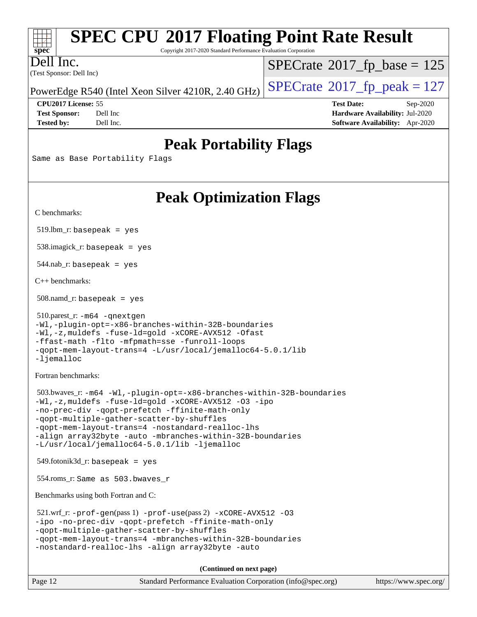| <b>SPEC CPU®2017 Floating Point Rate Result</b><br>Copyright 2017-2020 Standard Performance Evaluation Corporation<br><b>spec</b> |                                                                                                                                                                                                                                                                                                                                                                                                |                                                                                     |  |                     |
|-----------------------------------------------------------------------------------------------------------------------------------|------------------------------------------------------------------------------------------------------------------------------------------------------------------------------------------------------------------------------------------------------------------------------------------------------------------------------------------------------------------------------------------------|-------------------------------------------------------------------------------------|--|---------------------|
| ell Inc.<br>(Test Sponsor: Dell Inc)                                                                                              |                                                                                                                                                                                                                                                                                                                                                                                                | $SPECrate^{\circ}2017$ _fp_base = 125<br>$SPECTate$ <sup>®</sup> 2017_fp_peak = 127 |  |                     |
|                                                                                                                                   |                                                                                                                                                                                                                                                                                                                                                                                                |                                                                                     |  | CPU2017 License: 55 |
| <b>Test Sponsor:</b><br><b>Tested by:</b>                                                                                         | Dell Inc<br>Dell Inc.                                                                                                                                                                                                                                                                                                                                                                          | Hardware Availability: Jul-2020<br>Software Availability: Apr-2020                  |  |                     |
| <b>Peak Portability Flags</b><br>Same as Base Portability Flags                                                                   |                                                                                                                                                                                                                                                                                                                                                                                                |                                                                                     |  |                     |
|                                                                                                                                   |                                                                                                                                                                                                                                                                                                                                                                                                |                                                                                     |  |                     |
| C benchmarks:                                                                                                                     | <b>Peak Optimization Flags</b>                                                                                                                                                                                                                                                                                                                                                                 |                                                                                     |  |                     |
| $519$ .lbm_r: basepeak = yes                                                                                                      |                                                                                                                                                                                                                                                                                                                                                                                                |                                                                                     |  |                     |
|                                                                                                                                   | $538.\text{imagek}_r$ : basepeak = yes                                                                                                                                                                                                                                                                                                                                                         |                                                                                     |  |                     |
| $544$ .nab_r: basepeak = yes                                                                                                      |                                                                                                                                                                                                                                                                                                                                                                                                |                                                                                     |  |                     |
| $C++$ benchmarks:                                                                                                                 |                                                                                                                                                                                                                                                                                                                                                                                                |                                                                                     |  |                     |
| $508$ .namd_r: basepeak = yes                                                                                                     |                                                                                                                                                                                                                                                                                                                                                                                                |                                                                                     |  |                     |
| 510.parest_r: -m64 -qnextgen<br>-ljemalloc                                                                                        | -Wl,-plugin-opt=-x86-branches-within-32B-boundaries<br>-Wl,-z, muldefs -fuse-ld=gold -xCORE-AVX512 -Ofast<br>-ffast-math -flto -mfpmath=sse -funroll-loops<br>-qopt-mem-layout-trans=4 -L/usr/local/jemalloc64-5.0.1/lib                                                                                                                                                                       |                                                                                     |  |                     |
| Fortran benchmarks:                                                                                                               |                                                                                                                                                                                                                                                                                                                                                                                                |                                                                                     |  |                     |
|                                                                                                                                   | 503.bwaves_r: -m64 -Wl,-plugin-opt=-x86-branches-within-32B-boundaries<br>-Wl,-z, muldefs -fuse-ld=gold -xCORE-AVX512 -03 -ipo<br>-no-prec-div -qopt-prefetch -ffinite-math-only<br>-qopt-multiple-gather-scatter-by-shuffles<br>-qopt-mem-layout-trans=4 -nostandard-realloc-lhs<br>-align array32byte -auto -mbranches-within-32B-boundaries<br>-L/usr/local/jemalloc64-5.0.1/lib -ljemalloc |                                                                                     |  |                     |
|                                                                                                                                   | $549$ .fotonik $3d$ _r: basepeak = yes                                                                                                                                                                                                                                                                                                                                                         |                                                                                     |  |                     |
|                                                                                                                                   | 554.roms_r: Same as 503.bwaves_r                                                                                                                                                                                                                                                                                                                                                               |                                                                                     |  |                     |
|                                                                                                                                   | Benchmarks using both Fortran and C:                                                                                                                                                                                                                                                                                                                                                           |                                                                                     |  |                     |
|                                                                                                                                   | $521.wrf_r$ : $-prof-gen(pass 1)$ $-prof-use(pass 2)$ $-xCORE-AVX512$ -03<br>-ipo -no-prec-div -qopt-prefetch -ffinite-math-only<br>-qopt-multiple-gather-scatter-by-shuffles<br>-qopt-mem-layout-trans=4 -mbranches-within-32B-boundaries<br>-nostandard-realloc-lhs -align array32byte -auto                                                                                                 |                                                                                     |  |                     |
|                                                                                                                                   | (Continued on next page)                                                                                                                                                                                                                                                                                                                                                                       |                                                                                     |  |                     |
| Page 12                                                                                                                           | Standard Performance Evaluation Corporation (info@spec.org)                                                                                                                                                                                                                                                                                                                                    | https://www.spec.org/                                                               |  |                     |